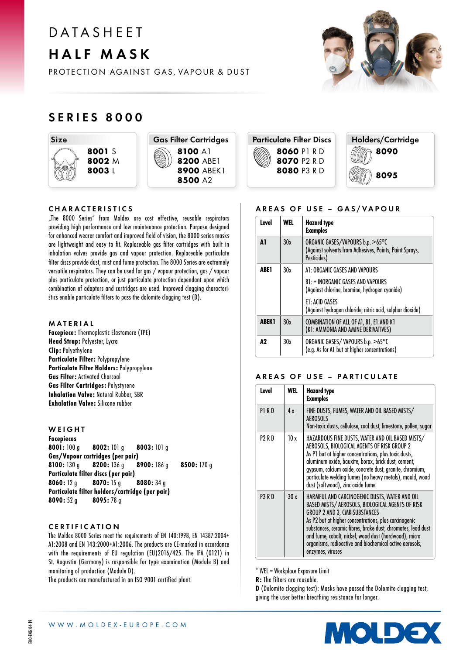# D A T A S H F F T HALF MASK

PROTECTION AGAINST GAS, VAPOUR & DUST

# SERIES 8000

Size 8001 S 8002 M 8003 L



8200 ABE1 **8900 ABEK1** 

# Particulate Filter Discs 8060 P1 R D 8070 P2 R D 8080 P3 R D

Holders/Cartridge 8090 8095

### CHARACTERISTICS

"The 8000 Series" from Moldex are cost effective, reusable respirators providing high performance and low maintenance protection. Purpose designed for enhanced wearer comfort and improved field of vision, the 8000 series masks are lightweight and easy to fit. Replaceable gas filter cartridges with built in inhalation valves provide gas and vapour protection. Replaceable particulate filter discs provide dust, mist and fume protection. The 8000 Series are extremely versatile respirators. They can be used for gas / vapour protection, gas / vapour plus particulate protection, or just particulate protection dependant upon which combination of adaptors and cartridges are used. Improved clogging characteristics enable particulate filters to pass the dolomite clogging test (D).

### MATERIAL

Facepiece: Thermoplastic Elastomere (TPE) Head Strap: Polyester, Lycra Clip: Polyethylene Particulate Filter: Polypropylene Particulate Filter Holders: Polypropylene Gas Filter: Activated Charcoal Gas Filter Cartridges: Polystyrene Inhalation Valve: Natural Rubber, SBR Exhalation Valve: Silicone rubber

### **WEIGHT** Facepieces 8001: 100 g 8002: 101 g 8003: 101 g Gas/Vapour cartridges (per pair) 8100: 130 g 8200: 136 g 8900: 186 g 8500: 170 g Particulate filter discs (per pair)  $8060: 12 \text{ g}$   $8070: 15 \text{ g}$   $8080: 34 \text{ g}$ Particulate filter holders/cartridge (per pair) 8090: 52 g 8095: 78 g

# CERTIFICATION

The Moldex 8000 Series meet the requirements of EN 140:1998, EN 14387:2004+ A1:2008 and EN 143:2000+A1:2006. The products are CE-marked in accordance with the requirements of EU regulation (EU)2016/425. The IFA (0121) in St. Augustin (Germany) is responsible for type examination (Module B) and monitoring of production (Module D).

The products are manufactured in an ISO 9001 certified plant.

# AREAS OF USE - GAS/VAPOUR

| Level        | <b>WEL</b> | <b>Hazard type</b><br><b>Examples</b>                                                                      |  |
|--------------|------------|------------------------------------------------------------------------------------------------------------|--|
| Δ1           | 30x        | ORGANIC GASES/VAPOURS b.p. >65°C<br>(Against solvents from Adhesives, Paints, Paint Sprays,<br>Pesticides) |  |
| ABE 1        | 30x        | A1: ORGANIC GASES AND VAPOURS                                                                              |  |
|              |            | B1: + INORGANIC GASES AND VAPOURS<br>(Against chlorine, bromine, hydrogen cyanide)                         |  |
|              |            | E1: ACID GASES<br>(Against hydrogen chloride, nitric acid, sulphur dioxide)                                |  |
| <b>ABEK1</b> | 30x        | COMBINATION OF ALL OF A1, B1, E1 AND K1<br>(K1: AMMONIA AND AMINE DERIVATIVES)                             |  |
| А2           | 30x        | ORGANIC GASES/VAPOURS b.p. >65°C<br>(e.g. As for A1 but at higher concentrations)                          |  |

### AREAS OF USE – PARTICULATE

| Level         | WEL | <b>Hazard type</b><br><b>Examples</b>                                                                                                                                                                                                                                                                                                                                                                      |  |
|---------------|-----|------------------------------------------------------------------------------------------------------------------------------------------------------------------------------------------------------------------------------------------------------------------------------------------------------------------------------------------------------------------------------------------------------------|--|
| P1RD          | 4x  | FINE DUSTS, FUMES, WATER AND OIL BASED MISTS/<br>AEROSOLS<br>Non-toxic dusts, cellulose, coal dust, limestone, pollen, sugar                                                                                                                                                                                                                                                                               |  |
| P2 R D        | 10x | HAZARDOUS FINE DUSTS, WATER AND OIL BASED MISTS/<br>AEROSOLS, BIOLOGICAL AGENTS OF RISK GROUP 2<br>As P1 but at higher concentrations, plus toxic dusts,<br>aluminum oxide, bauxite, borax, brick dust, cement,<br>gypsum, calcium oxide, concrete dust, granite, chromium,<br>particulate welding fumes (no heavy metals), mould, wood<br>dust (softwood), zinc oxide fume                                |  |
| <b>P3 R D</b> | 30x | HARMFUL AND CARCINOGENIC DUSTS, WATER AND OIL<br>BASED MISTS/ AEROSOLS, BIOLOGICAL AGENTS OF RISK<br><b>GROUP 2 AND 3, CMR-SUBSTANCES</b><br>As P2 but at higher concentrations, plus carcinogenic<br>substances, ceramic fibres, brake dust, chromates, lead dust<br>and fume, cobalt, nickel, wood dust (hardwood), micro<br>organisms, radioactive and biochemical active aerosols,<br>enzymes, viruses |  |

\* WEL = Workplace Exposure Limit

R: The filters are reusable.

D (Dolomite clogging test): Masks have passed the Dolomite clogging test, giving the user better breathing resistance for longer.